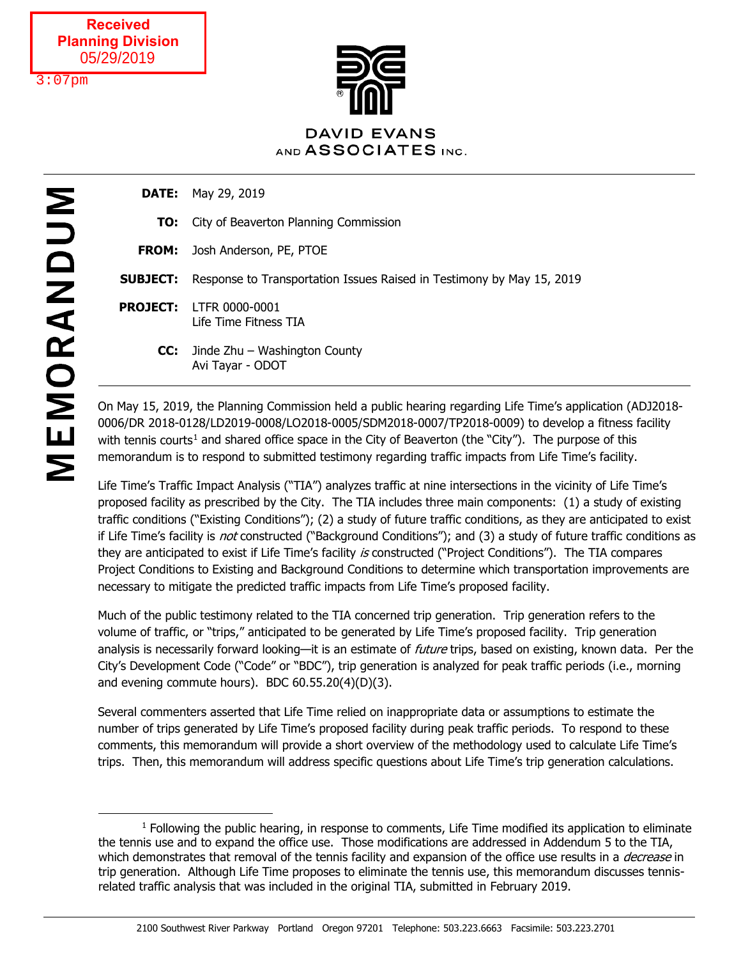$3:07$ pm



**DATE:** May 29, 2019

- **TO:** City of Beaverton Planning Commission
- **FROM:** Josh Anderson, PE, PTOE
- **SUBJECT:** Response to Transportation Issues Raised in Testimony by May 15, 2019
- **PROJECT:** LTFR 0000-0001 Life Time Fitness TIA
	- **CC:** Jinde Zhu Washington County Avi Tayar - ODOT

On May 15, 2019, the Planning Commission held a public hearing regarding Life Time's application (ADJ2018- 0006/DR 2018-0128/LD2019-0008/LO2018-0005/SDM2018-0007/TP2018-0009) to develop a fitness facility with tennis courts<sup>[1](#page-0-0)</sup> and shared office space in the City of Beaverton (the "City"). The purpose of this memorandum is to respond to submitted testimony regarding traffic impacts from Life Time's facility.

Life Time's Traffic Impact Analysis ("TIA") analyzes traffic at nine intersections in the vicinity of Life Time's proposed facility as prescribed by the City. The TIA includes three main components: (1) a study of existing traffic conditions ("Existing Conditions"); (2) a study of future traffic conditions, as they are anticipated to exist if Life Time's facility is *not* constructed ("Background Conditions"); and (3) a study of future traffic conditions as they are anticipated to exist if Life Time's facility is constructed ("Project Conditions"). The TIA compares Project Conditions to Existing and Background Conditions to determine which transportation improvements are necessary to mitigate the predicted traffic impacts from Life Time's proposed facility.

Much of the public testimony related to the TIA concerned trip generation. Trip generation refers to the volume of traffic, or "trips," anticipated to be generated by Life Time's proposed facility. Trip generation analysis is necessarily forward looking—it is an estimate of *future* trips, based on existing, known data. Per the City's Development Code ("Code" or "BDC"), trip generation is analyzed for peak traffic periods (i.e., morning and evening commute hours). BDC 60.55.20(4)(D)(3).

Several commenters asserted that Life Time relied on inappropriate data or assumptions to estimate the number of trips generated by Life Time's proposed facility during peak traffic periods. To respond to these comments, this memorandum will provide a short overview of the methodology used to calculate Life Time's trips. Then, this memorandum will address specific questions about Life Time's trip generation calculations.

 $\overline{a}$ 

<span id="page-0-0"></span> $<sup>1</sup>$  Following the public hearing, in response to comments, Life Time modified its application to eliminate</sup> the tennis use and to expand the office use. Those modifications are addressed in Addendum 5 to the TIA, which demonstrates that removal of the tennis facility and expansion of the office use results in a *decrease* in trip generation. Although Life Time proposes to eliminate the tennis use, this memorandum discusses tennisrelated traffic analysis that was included in the original TIA, submitted in February 2019.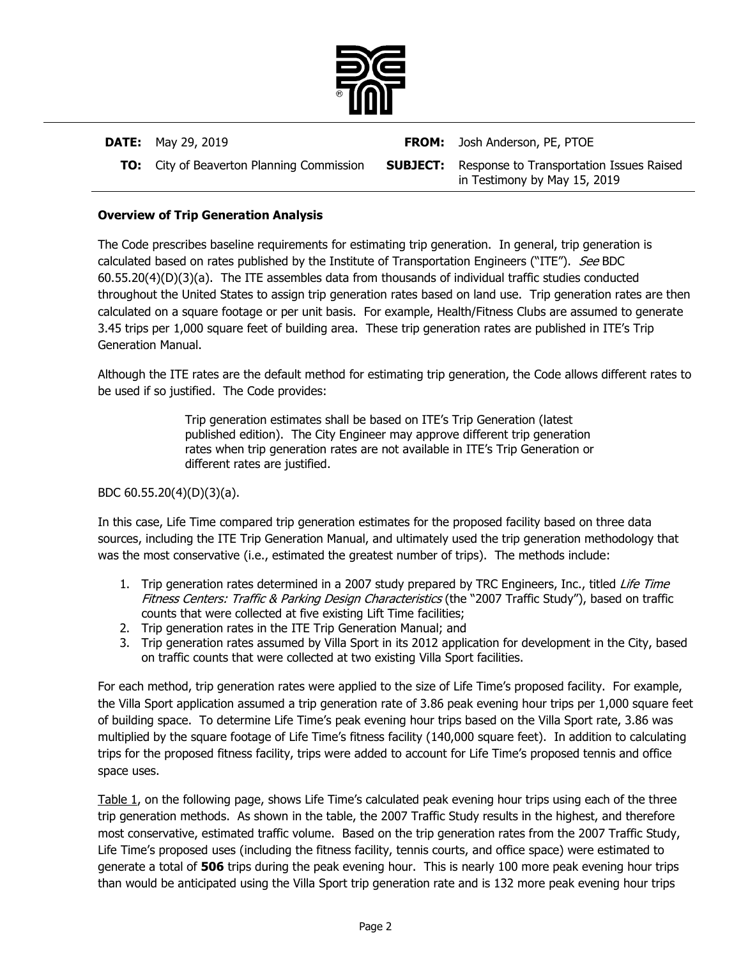

**DATE:** May 29, 2019 **FROM:** Josh Anderson, PE, PTOE **TO:** City of Beaverton Planning Commission **SUBJECT:** Response to Transportation Issues Raised in Testimony by May 15, 2019

### **Overview of Trip Generation Analysis**

The Code prescribes baseline requirements for estimating trip generation. In general, trip generation is calculated based on rates published by the Institute of Transportation Engineers ("ITE"). See BDC 60.55.20(4)(D)(3)(a). The ITE assembles data from thousands of individual traffic studies conducted throughout the United States to assign trip generation rates based on land use. Trip generation rates are then calculated on a square footage or per unit basis. For example, Health/Fitness Clubs are assumed to generate 3.45 trips per 1,000 square feet of building area. These trip generation rates are published in ITE's Trip Generation Manual.

Although the ITE rates are the default method for estimating trip generation, the Code allows different rates to be used if so justified. The Code provides:

> Trip generation estimates shall be based on ITE's Trip Generation (latest published edition). The City Engineer may approve different trip generation rates when trip generation rates are not available in ITE's Trip Generation or different rates are justified.

BDC 60.55.20(4)(D)(3)(a).

In this case, Life Time compared trip generation estimates for the proposed facility based on three data sources, including the ITE Trip Generation Manual, and ultimately used the trip generation methodology that was the most conservative (i.e., estimated the greatest number of trips). The methods include:

- 1. Trip generation rates determined in a 2007 study prepared by TRC Engineers, Inc., titled Life Time Fitness Centers: Traffic & Parking Design Characteristics (the "2007 Traffic Study"), based on traffic counts that were collected at five existing Lift Time facilities;
- 2. Trip generation rates in the ITE Trip Generation Manual; and
- 3. Trip generation rates assumed by Villa Sport in its 2012 application for development in the City, based on traffic counts that were collected at two existing Villa Sport facilities.

For each method, trip generation rates were applied to the size of Life Time's proposed facility. For example, the Villa Sport application assumed a trip generation rate of 3.86 peak evening hour trips per 1,000 square feet of building space. To determine Life Time's peak evening hour trips based on the Villa Sport rate, 3.86 was multiplied by the square footage of Life Time's fitness facility (140,000 square feet). In addition to calculating trips for the proposed fitness facility, trips were added to account for Life Time's proposed tennis and office space uses.

Table 1, on the following page, shows Life Time's calculated peak evening hour trips using each of the three trip generation methods. As shown in the table, the 2007 Traffic Study results in the highest, and therefore most conservative, estimated traffic volume. Based on the trip generation rates from the 2007 Traffic Study, Life Time's proposed uses (including the fitness facility, tennis courts, and office space) were estimated to generate a total of **506** trips during the peak evening hour. This is nearly 100 more peak evening hour trips than would be anticipated using the Villa Sport trip generation rate and is 132 more peak evening hour trips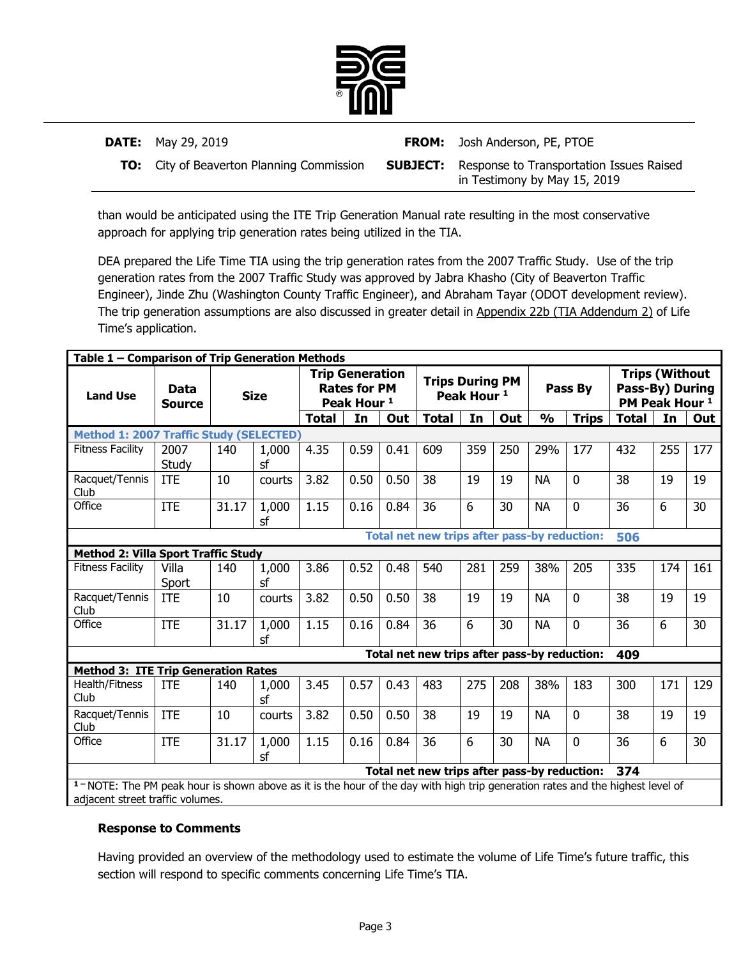

| <b>DATE:</b> May 29, 2019                        | <b>FROM:</b> Josh Anderson, PE, PTOE                                                     |
|--------------------------------------------------|------------------------------------------------------------------------------------------|
| <b>TO:</b> City of Beaverton Planning Commission | <b>SUBJECT:</b> Response to Transportation Issues Raised<br>in Testimony by May 15, 2019 |

than would be anticipated using the ITE Trip Generation Manual rate resulting in the most conservative approach for applying trip generation rates being utilized in the TIA.

DEA prepared the Life Time TIA using the trip generation rates from the 2007 Traffic Study. Use of the trip generation rates from the 2007 Traffic Study was approved by Jabra Khasho (City of Beaverton Traffic Engineer), Jinde Zhu (Washington County Traffic Engineer), and Abraham Tayar (ODOT development review). The trip generation assumptions are also discussed in greater detail in Appendix 22b (TIA Addendum 2) of Life Time's application.

| Table 1 - Comparison of Trip Generation Methods                                                                                          |                                                     |       |             |       |                                                                         |      |                                              |                        |     |               |              |                                              |                       |     |
|------------------------------------------------------------------------------------------------------------------------------------------|-----------------------------------------------------|-------|-------------|-------|-------------------------------------------------------------------------|------|----------------------------------------------|------------------------|-----|---------------|--------------|----------------------------------------------|-----------------------|-----|
| <b>Land Use</b>                                                                                                                          | Data<br><b>Source</b>                               |       | <b>Size</b> |       | <b>Trip Generation</b><br><b>Rates for PM</b><br>Peak Hour <sup>1</sup> |      | <b>Trips During PM</b>                       | Peak Hour <sup>1</sup> |     |               | Pass By      | Pass-By) During<br>PM Peak Hour <sup>1</sup> | <b>Trips (Without</b> |     |
|                                                                                                                                          |                                                     |       |             | Total | In                                                                      | Out  | <b>Total</b>                                 | In                     | Out | $\frac{1}{2}$ | <b>Trips</b> | <b>Total</b>                                 | In                    | Out |
|                                                                                                                                          | Method 1: 2007 Traffic Study (SELECTED)             |       |             |       |                                                                         |      |                                              |                        |     |               |              |                                              |                       |     |
| <b>Fitness Facility</b>                                                                                                                  | 2007<br>Study                                       | 140   | 1,000<br>sf | 4.35  | 0.59                                                                    | 0.41 | 609                                          | 359                    | 250 | 29%           | 177          | 432                                          | 255                   | 177 |
| Racquet/Tennis<br>Club                                                                                                                   | <b>ITE</b>                                          | 10    | courts      | 3.82  | 0.50                                                                    | 0.50 | 38                                           | 19                     | 19  | <b>NA</b>     | 0            | 38                                           | 19                    | 19  |
| Office                                                                                                                                   | <b>ITE</b>                                          | 31.17 | 1,000<br>sf | 1.15  | 0.16                                                                    | 0.84 | 36                                           | 6                      | 30  | <b>NA</b>     | 0            | 36                                           | 6                     | 30  |
|                                                                                                                                          | Total net new trips after pass-by reduction:<br>506 |       |             |       |                                                                         |      |                                              |                        |     |               |              |                                              |                       |     |
| <b>Method 2: Villa Sport Traffic Study</b>                                                                                               |                                                     |       |             |       |                                                                         |      |                                              |                        |     |               |              |                                              |                       |     |
| <b>Fitness Facility</b>                                                                                                                  | Villa<br>Sport                                      | 140   | 1,000<br>sf | 3.86  | 0.52                                                                    | 0.48 | 540                                          | 281                    | 259 | 38%           | 205          | 335                                          | 174                   | 161 |
| Racquet/Tennis<br>Club                                                                                                                   | <b>ITE</b>                                          | 10    | courts      | 3.82  | 0.50                                                                    | 0.50 | 38                                           | 19                     | 19  | <b>NA</b>     | 0            | 38                                           | 19                    | 19  |
| Office                                                                                                                                   | <b>ITE</b>                                          | 31.17 | 1,000<br>sf | 1.15  | 0.16                                                                    | 0.84 | 36                                           | 6                      | 30  | <b>NA</b>     | 0            | 36                                           | 6                     | 30  |
|                                                                                                                                          |                                                     |       |             |       |                                                                         |      | Total net new trips after pass-by reduction: |                        |     |               |              | 409                                          |                       |     |
| <b>Method 3: ITE Trip Generation Rates</b>                                                                                               |                                                     |       |             |       |                                                                         |      |                                              |                        |     |               |              |                                              |                       |     |
| Health/Fitness<br>Club                                                                                                                   | <b>ITE</b>                                          | 140   | 1,000<br>sf | 3.45  | 0.57                                                                    | 0.43 | 483                                          | 275                    | 208 | 38%           | 183          | 300                                          | 171                   | 129 |
| Racquet/Tennis<br>Club                                                                                                                   | <b>ITE</b>                                          | 10    | courts      | 3.82  | 0.50                                                                    | 0.50 | 38                                           | 19                     | 19  | <b>NA</b>     | 0            | 38                                           | 19                    | 19  |
| Office                                                                                                                                   | <b>ITE</b>                                          | 31.17 | 1,000<br>sf | 1.15  | 0.16                                                                    | 0.84 | 36                                           | 6                      | 30  | <b>NA</b>     | 0            | 36                                           | 6                     | 30  |
| Total net new trips after pass-by reduction:<br>374                                                                                      |                                                     |       |             |       |                                                                         |      |                                              |                        |     |               |              |                                              |                       |     |
| <sup>1</sup> NOTE: The PM peak hour is shown above as it is the hour of the day with high trip generation rates and the highest level of |                                                     |       |             |       |                                                                         |      |                                              |                        |     |               |              |                                              |                       |     |
| adjacent street traffic volumes.                                                                                                         |                                                     |       |             |       |                                                                         |      |                                              |                        |     |               |              |                                              |                       |     |

### **Response to Comments**

Having provided an overview of the methodology used to estimate the volume of Life Time's future traffic, this section will respond to specific comments concerning Life Time's TIA.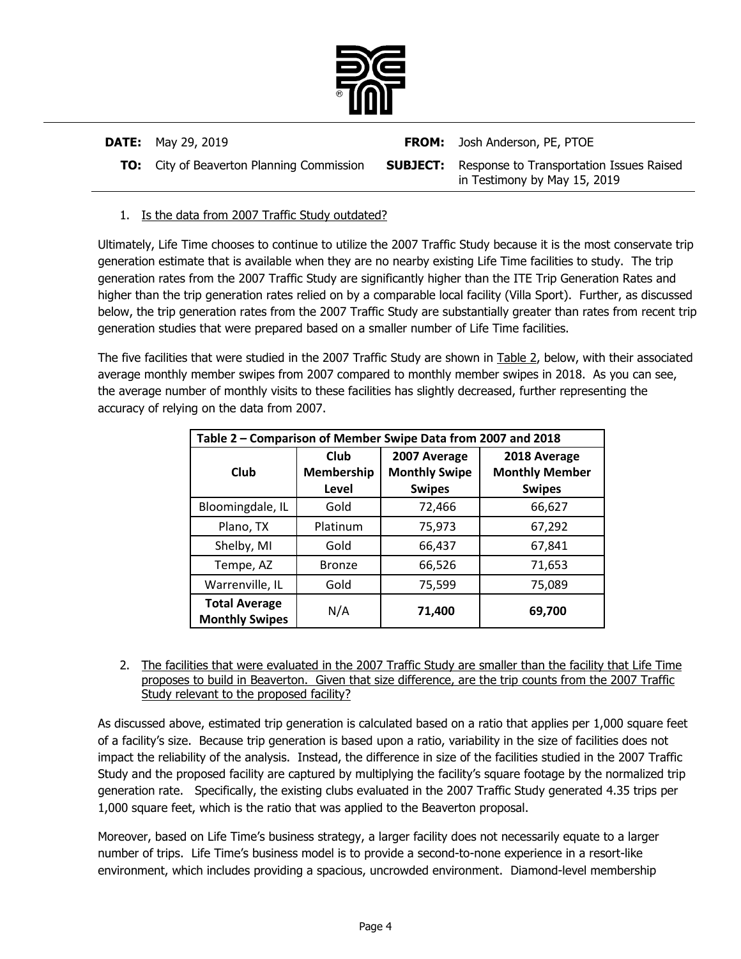

| <b>DATE:</b> May 29, 2019                        | <b>FROM:</b> Josh Anderson, PE, PTOE                                                     |
|--------------------------------------------------|------------------------------------------------------------------------------------------|
| <b>TO:</b> City of Beaverton Planning Commission | <b>SUBJECT:</b> Response to Transportation Issues Raised<br>in Testimony by May 15, 2019 |

## 1. Is the data from 2007 Traffic Study outdated?

Ultimately, Life Time chooses to continue to utilize the 2007 Traffic Study because it is the most conservate trip generation estimate that is available when they are no nearby existing Life Time facilities to study. The trip generation rates from the 2007 Traffic Study are significantly higher than the ITE Trip Generation Rates and higher than the trip generation rates relied on by a comparable local facility (Villa Sport). Further, as discussed below, the trip generation rates from the 2007 Traffic Study are substantially greater than rates from recent trip generation studies that were prepared based on a smaller number of Life Time facilities.

The five facilities that were studied in the 2007 Traffic Study are shown in **Table 2**, below, with their associated average monthly member swipes from 2007 compared to monthly member swipes in 2018. As you can see, the average number of monthly visits to these facilities has slightly decreased, further representing the accuracy of relying on the data from 2007.

| Table 2 - Comparison of Member Swipe Data from 2007 and 2018 |                             |                                                       |                                                        |  |  |
|--------------------------------------------------------------|-----------------------------|-------------------------------------------------------|--------------------------------------------------------|--|--|
| Club                                                         | Club<br>Membership<br>Level | 2007 Average<br><b>Monthly Swipe</b><br><b>Swipes</b> | 2018 Average<br><b>Monthly Member</b><br><b>Swipes</b> |  |  |
| Bloomingdale, IL                                             | Gold                        | 72,466                                                | 66,627                                                 |  |  |
| Plano, TX                                                    | Platinum                    | 75,973                                                | 67,292                                                 |  |  |
| Shelby, MI                                                   | Gold                        | 66,437                                                | 67,841                                                 |  |  |
| Tempe, AZ                                                    | <b>Bronze</b>               | 66,526                                                | 71,653                                                 |  |  |
| Warrenville, IL                                              | Gold                        | 75,599                                                | 75,089                                                 |  |  |
| <b>Total Average</b><br><b>Monthly Swipes</b>                | N/A                         | 71,400                                                | 69,700                                                 |  |  |

2. The facilities that were evaluated in the 2007 Traffic Study are smaller than the facility that Life Time proposes to build in Beaverton. Given that size difference, are the trip counts from the 2007 Traffic Study relevant to the proposed facility?

As discussed above, estimated trip generation is calculated based on a ratio that applies per 1,000 square feet of a facility's size. Because trip generation is based upon a ratio, variability in the size of facilities does not impact the reliability of the analysis. Instead, the difference in size of the facilities studied in the 2007 Traffic Study and the proposed facility are captured by multiplying the facility's square footage by the normalized trip generation rate. Specifically, the existing clubs evaluated in the 2007 Traffic Study generated 4.35 trips per 1,000 square feet, which is the ratio that was applied to the Beaverton proposal.

Moreover, based on Life Time's business strategy, a larger facility does not necessarily equate to a larger number of trips. Life Time's business model is to provide a second-to-none experience in a resort-like environment, which includes providing a spacious, uncrowded environment. Diamond-level membership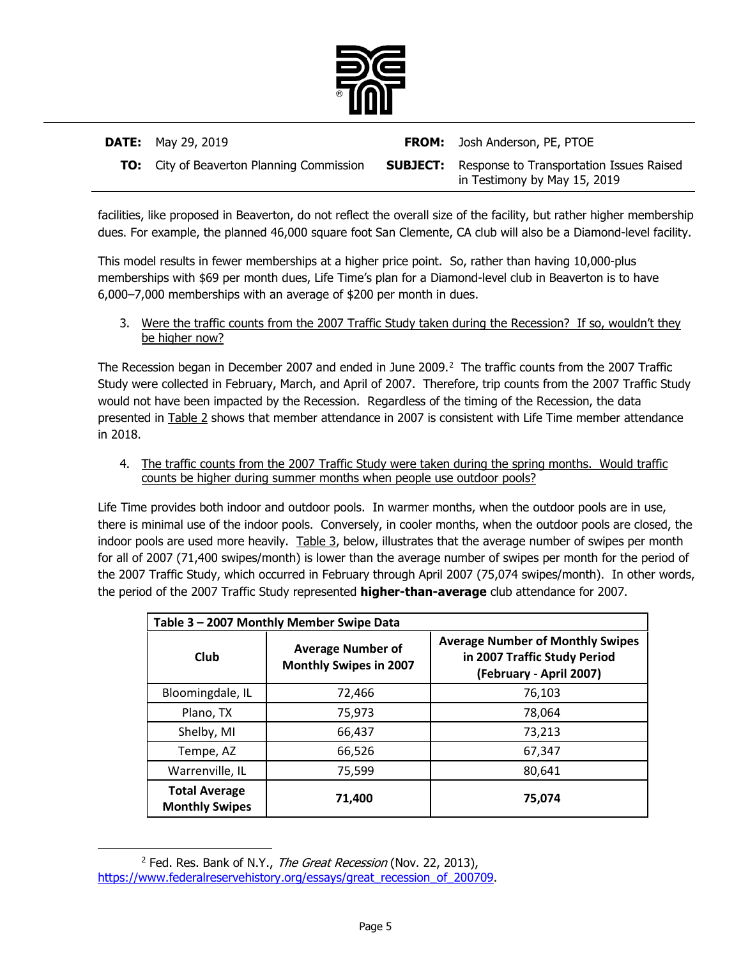

| <b>DATE:</b> May 29, 2019                        | <b>FROM:</b> Josh Anderson, PE, PTOE                                                     |
|--------------------------------------------------|------------------------------------------------------------------------------------------|
| <b>TO:</b> City of Beaverton Planning Commission | <b>SUBJECT:</b> Response to Transportation Issues Raised<br>in Testimony by May 15, 2019 |

facilities, like proposed in Beaverton, do not reflect the overall size of the facility, but rather higher membership dues. For example, the planned 46,000 square foot San Clemente, CA club will also be a Diamond-level facility.

This model results in fewer memberships at a higher price point. So, rather than having 10,000-plus memberships with \$69 per month dues, Life Time's plan for a Diamond-level club in Beaverton is to have 6,000–7,000 memberships with an average of \$200 per month in dues.

3. Were the traffic counts from the 2007 Traffic Study taken during the Recession? If so, wouldn't they be higher now?

The Recession began in December 2007 and ended in June 2009. $^2$  The traffic counts from the 2007 Traffic Study were collected in February, March, and April of 2007. Therefore, trip counts from the 2007 Traffic Study would not have been impacted by the Recession. Regardless of the timing of the Recession, the data presented in **Table 2** shows that member attendance in 2007 is consistent with Life Time member attendance in 2018.

4. The traffic counts from the 2007 Traffic Study were taken during the spring months. Would traffic counts be higher during summer months when people use outdoor pools?

Life Time provides both indoor and outdoor pools. In warmer months, when the outdoor pools are in use, there is minimal use of the indoor pools. Conversely, in cooler months, when the outdoor pools are closed, the indoor pools are used more heavily. Table 3, below, illustrates that the average number of swipes per month for all of 2007 (71,400 swipes/month) is lower than the average number of swipes per month for the period of the 2007 Traffic Study, which occurred in February through April 2007 (75,074 swipes/month). In other words, the period of the 2007 Traffic Study represented **higher-than-average** club attendance for 2007.

| Table 3 - 2007 Monthly Member Swipe Data      |                                                           |                                                                                                    |  |  |  |  |
|-----------------------------------------------|-----------------------------------------------------------|----------------------------------------------------------------------------------------------------|--|--|--|--|
| Club                                          | <b>Average Number of</b><br><b>Monthly Swipes in 2007</b> | <b>Average Number of Monthly Swipes</b><br>in 2007 Traffic Study Period<br>(February - April 2007) |  |  |  |  |
| Bloomingdale, IL                              | 72,466                                                    | 76,103                                                                                             |  |  |  |  |
| Plano, TX                                     | 75,973                                                    | 78,064                                                                                             |  |  |  |  |
| Shelby, MI                                    | 66,437                                                    | 73,213                                                                                             |  |  |  |  |
| Tempe, AZ                                     | 66,526                                                    | 67,347                                                                                             |  |  |  |  |
| Warrenville, IL                               | 75,599                                                    | 80.641                                                                                             |  |  |  |  |
| <b>Total Average</b><br><b>Monthly Swipes</b> | 71,400                                                    | 75,074                                                                                             |  |  |  |  |

<span id="page-4-0"></span><sup>&</sup>lt;sup>2</sup> Fed. Res. Bank of N.Y., *The Great Recession* (Nov. 22, 2013), [https://www.federalreservehistory.org/essays/great\\_recession\\_of\\_200709.](https://www.federalreservehistory.org/essays/great_recession_of_200709)

l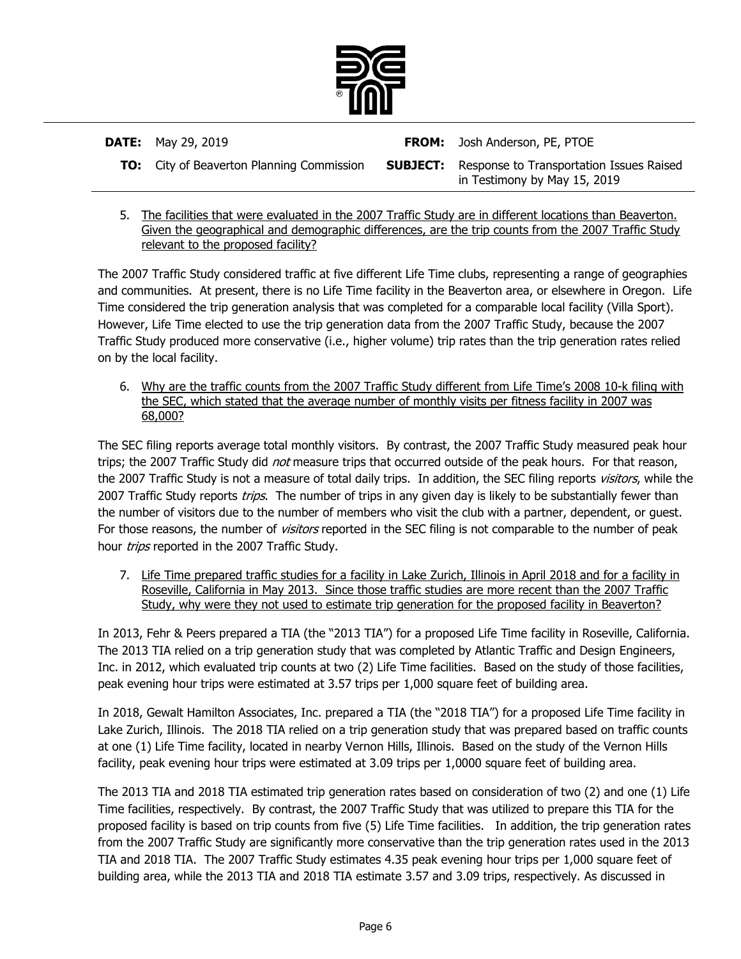

**DATE:** May 29, 2019 **FROM:** Josh Anderson, PE, PTOE **TO:** City of Beaverton Planning Commission **SUBJECT:** Response to Transportation Issues Raised in Testimony by May 15, 2019

5. The facilities that were evaluated in the 2007 Traffic Study are in different locations than Beaverton. Given the geographical and demographic differences, are the trip counts from the 2007 Traffic Study relevant to the proposed facility?

The 2007 Traffic Study considered traffic at five different Life Time clubs, representing a range of geographies and communities. At present, there is no Life Time facility in the Beaverton area, or elsewhere in Oregon. Life Time considered the trip generation analysis that was completed for a comparable local facility (Villa Sport). However, Life Time elected to use the trip generation data from the 2007 Traffic Study, because the 2007 Traffic Study produced more conservative (i.e., higher volume) trip rates than the trip generation rates relied on by the local facility.

6. Why are the traffic counts from the 2007 Traffic Study different from Life Time's 2008 10-k filing with the SEC, which stated that the average number of monthly visits per fitness facility in 2007 was 68,000?

The SEC filing reports average total monthly visitors. By contrast, the 2007 Traffic Study measured peak hour trips; the 2007 Traffic Study did not measure trips that occurred outside of the peak hours. For that reason, the 2007 Traffic Study is not a measure of total daily trips. In addition, the SEC filing reports visitors, while the 2007 Traffic Study reports *trips*. The number of trips in any given day is likely to be substantially fewer than the number of visitors due to the number of members who visit the club with a partner, dependent, or guest. For those reasons, the number of *visitors* reported in the SEC filing is not comparable to the number of peak hour trips reported in the 2007 Traffic Study.

7. Life Time prepared traffic studies for a facility in Lake Zurich, Illinois in April 2018 and for a facility in Roseville, California in May 2013. Since those traffic studies are more recent than the 2007 Traffic Study, why were they not used to estimate trip generation for the proposed facility in Beaverton?

In 2013, Fehr & Peers prepared a TIA (the "2013 TIA") for a proposed Life Time facility in Roseville, California. The 2013 TIA relied on a trip generation study that was completed by Atlantic Traffic and Design Engineers, Inc. in 2012, which evaluated trip counts at two (2) Life Time facilities. Based on the study of those facilities, peak evening hour trips were estimated at 3.57 trips per 1,000 square feet of building area.

In 2018, Gewalt Hamilton Associates, Inc. prepared a TIA (the "2018 TIA") for a proposed Life Time facility in Lake Zurich, Illinois. The 2018 TIA relied on a trip generation study that was prepared based on traffic counts at one (1) Life Time facility, located in nearby Vernon Hills, Illinois. Based on the study of the Vernon Hills facility, peak evening hour trips were estimated at 3.09 trips per 1,0000 square feet of building area.

The 2013 TIA and 2018 TIA estimated trip generation rates based on consideration of two (2) and one (1) Life Time facilities, respectively. By contrast, the 2007 Traffic Study that was utilized to prepare this TIA for the proposed facility is based on trip counts from five (5) Life Time facilities. In addition, the trip generation rates from the 2007 Traffic Study are significantly more conservative than the trip generation rates used in the 2013 TIA and 2018 TIA. The 2007 Traffic Study estimates 4.35 peak evening hour trips per 1,000 square feet of building area, while the 2013 TIA and 2018 TIA estimate 3.57 and 3.09 trips, respectively. As discussed in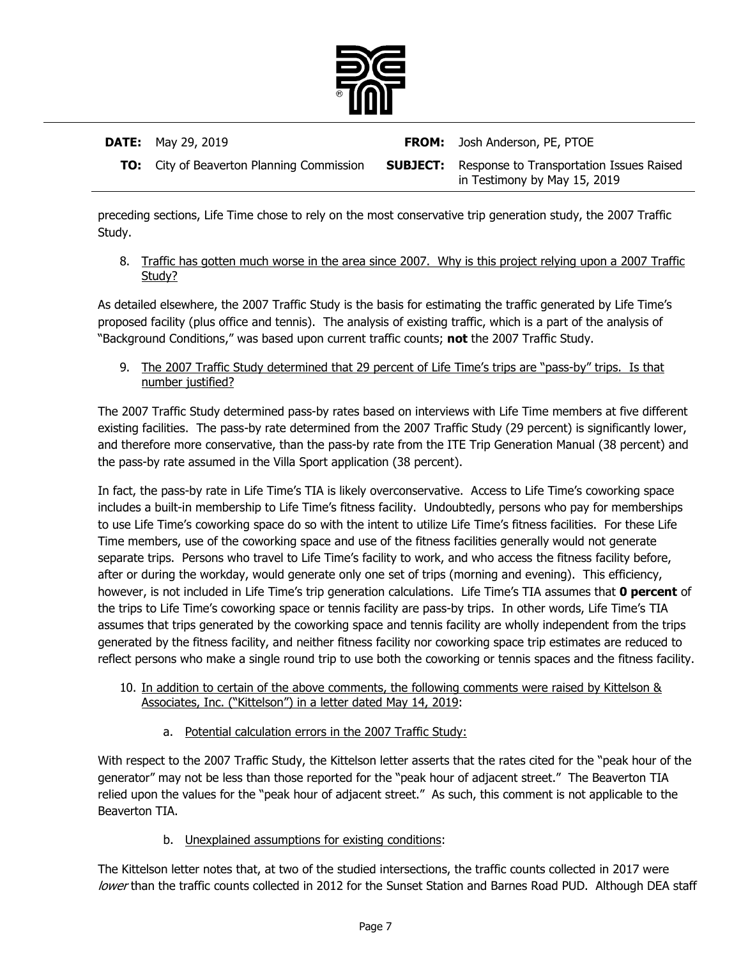

| <b>DATE:</b> May 29, 2019                        | <b>FROM:</b> Josh Anderson, PE, PTOE                                                     |
|--------------------------------------------------|------------------------------------------------------------------------------------------|
| <b>TO:</b> City of Beaverton Planning Commission | <b>SUBJECT:</b> Response to Transportation Issues Raised<br>in Testimony by May 15, 2019 |

preceding sections, Life Time chose to rely on the most conservative trip generation study, the 2007 Traffic Study.

8. Traffic has gotten much worse in the area since 2007. Why is this project relying upon a 2007 Traffic Study?

As detailed elsewhere, the 2007 Traffic Study is the basis for estimating the traffic generated by Life Time's proposed facility (plus office and tennis). The analysis of existing traffic, which is a part of the analysis of "Background Conditions," was based upon current traffic counts; **not** the 2007 Traffic Study.

9. The 2007 Traffic Study determined that 29 percent of Life Time's trips are "pass-by" trips. Is that number justified?

The 2007 Traffic Study determined pass-by rates based on interviews with Life Time members at five different existing facilities. The pass-by rate determined from the 2007 Traffic Study (29 percent) is significantly lower, and therefore more conservative, than the pass-by rate from the ITE Trip Generation Manual (38 percent) and the pass-by rate assumed in the Villa Sport application (38 percent).

In fact, the pass-by rate in Life Time's TIA is likely overconservative. Access to Life Time's coworking space includes a built-in membership to Life Time's fitness facility. Undoubtedly, persons who pay for memberships to use Life Time's coworking space do so with the intent to utilize Life Time's fitness facilities. For these Life Time members, use of the coworking space and use of the fitness facilities generally would not generate separate trips. Persons who travel to Life Time's facility to work, and who access the fitness facility before, after or during the workday, would generate only one set of trips (morning and evening). This efficiency, however, is not included in Life Time's trip generation calculations. Life Time's TIA assumes that **0 percent** of the trips to Life Time's coworking space or tennis facility are pass-by trips. In other words, Life Time's TIA assumes that trips generated by the coworking space and tennis facility are wholly independent from the trips generated by the fitness facility, and neither fitness facility nor coworking space trip estimates are reduced to reflect persons who make a single round trip to use both the coworking or tennis spaces and the fitness facility.

- 10. In addition to certain of the above comments, the following comments were raised by Kittelson & Associates, Inc. ("Kittelson") in a letter dated May 14, 2019:
	- a. Potential calculation errors in the 2007 Traffic Study:

With respect to the 2007 Traffic Study, the Kittelson letter asserts that the rates cited for the "peak hour of the generator" may not be less than those reported for the "peak hour of adjacent street." The Beaverton TIA relied upon the values for the "peak hour of adjacent street." As such, this comment is not applicable to the Beaverton TIA.

b. Unexplained assumptions for existing conditions:

The Kittelson letter notes that, at two of the studied intersections, the traffic counts collected in 2017 were lower than the traffic counts collected in 2012 for the Sunset Station and Barnes Road PUD. Although DEA staff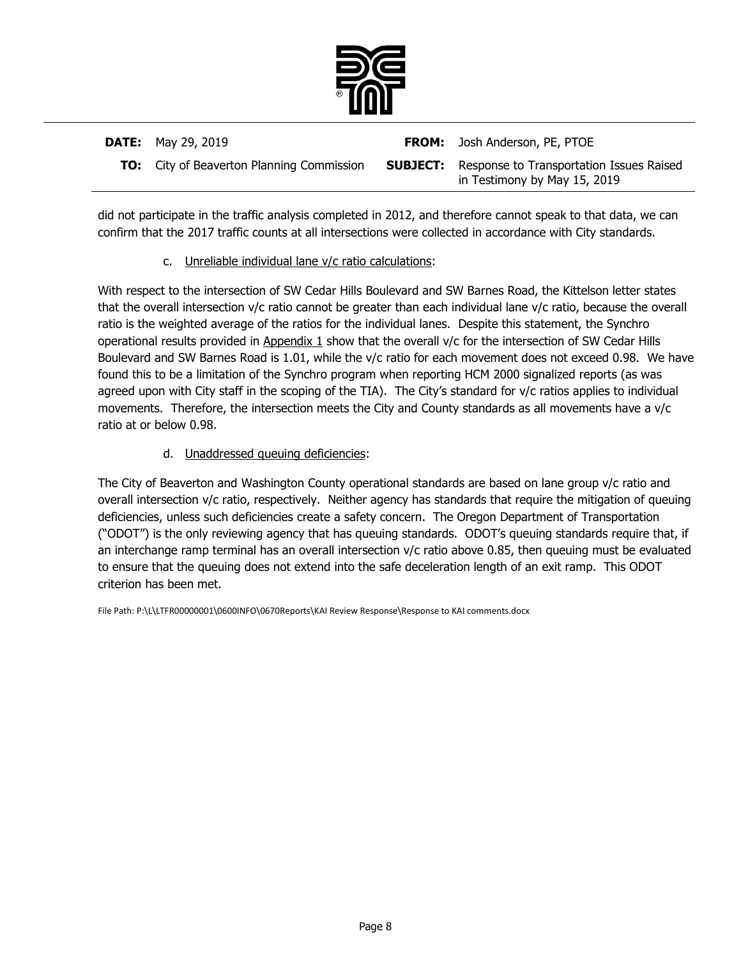

| <b>DATE:</b> May 29, 2019                        | <b>FROM:</b> Josh Anderson, PE, PTOE                                                     |
|--------------------------------------------------|------------------------------------------------------------------------------------------|
| <b>TO:</b> City of Beaverton Planning Commission | <b>SUBJECT:</b> Response to Transportation Issues Raised<br>in Testimony by May 15, 2019 |

did not participate in the traffic analysis completed in 2012, and therefore cannot speak to that data, we can confirm that the 2017 traffic counts at all intersections were collected in accordance with City standards.

### c. Unreliable individual lane v/c ratio calculations:

With respect to the intersection of SW Cedar Hills Boulevard and SW Barnes Road, the Kittelson letter states that the overall intersection v/c ratio cannot be greater than each individual lane v/c ratio, because the overall ratio is the weighted average of the ratios for the individual lanes. Despite this statement, the Synchro operational results provided in Appendix 1 show that the overall v/c for the intersection of SW Cedar Hills Boulevard and SW Barnes Road is 1.01, while the v/c ratio for each movement does not exceed 0.98. We have found this to be a limitation of the Synchro program when reporting HCM 2000 signalized reports (as was agreed upon with City staff in the scoping of the TIA). The City's standard for v/c ratios applies to individual movements. Therefore, the intersection meets the City and County standards as all movements have a v/c ratio at or below 0.98.

# d. Unaddressed queuing deficiencies:

The City of Beaverton and Washington County operational standards are based on lane group v/c ratio and overall intersection v/c ratio, respectively. Neither agency has standards that require the mitigation of queuing deficiencies, unless such deficiencies create a safety concern. The Oregon Department of Transportation ("ODOT") is the only reviewing agency that has queuing standards. ODOT's queuing standards require that, if an interchange ramp terminal has an overall intersection v/c ratio above 0.85, then queuing must be evaluated to ensure that the queuing does not extend into the safe deceleration length of an exit ramp. This ODOT criterion has been met.

File Path: P:\L\LTFR00000001\0600INFO\0670Reports\KAI Review Response\Response to KAI comments.docx